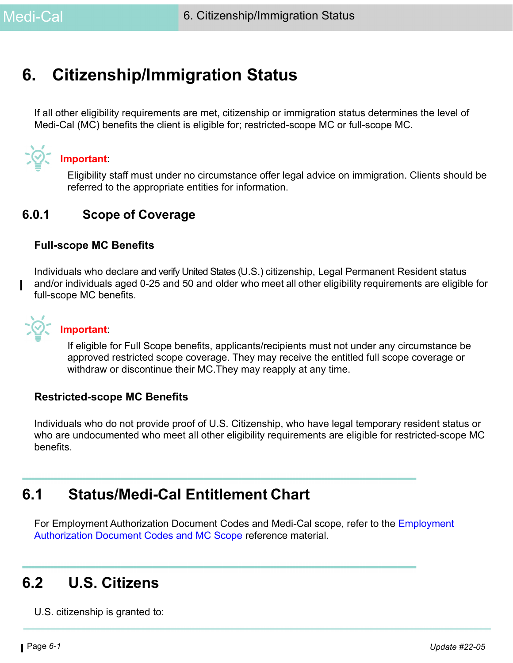# **6. Citizenship/Immigration Status**

If all other eligibility requirements are met, citizenship or immigration status determines the level of Medi-Cal (MC) benefits the client is eligible for; restricted-scope MC or full-scope MC.



### **Important**:

Eligibility staff must under no circumstance offer legal advice on immigration. Clients should be referred to the appropriate entities for information.

## **6.0.1 Scope of Coverage**

#### **Full-scope MC Benefits**

Individuals who declare and verify United States (U.S.) citizenship, Legal Permanent Resident status and/or individuals aged 0-25 and 50 and older who meet all other eligibility requirements are eligible for full-scope MC benefits.



#### **Important**:

If eligible for Full Scope benefits, applicants/recipients must not under any circumstance be approved restricted scope coverage. They may receive the entitled full scope coverage or withdraw or discontinue their MC.They may reapply at any time.

#### **Restricted-scope MC Benefits**

Individuals who do not provide proof of U.S. Citizenship, who have legal temporary resident status or who are undocumented who meet all other eligibility requirements are eligible for restricted-scope MC benefits.

## **6.1 Status/Medi-Cal Entitlement Chart**

For Employment Authorization Document Codes and Medi-Cal scope, refer to the Employment Authorization Document Codes and MC Scope reference material.

## **6.2 U.S. Citizens**

U.S. citizenship is granted to: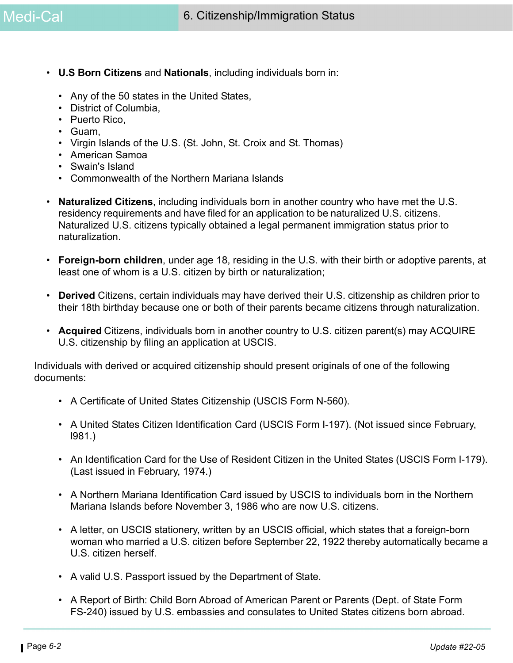- **U.S Born Citizens** and **Nationals**, including individuals born in:
	- Any of the 50 states in the United States,
	- District of Columbia,
	- Puerto Rico,
	- Guam,
	- Virgin Islands of the U.S. (St. John, St. Croix and St. Thomas)
	- American Samoa
	- Swain's Island
	- Commonwealth of the Northern Mariana Islands
- **Naturalized Citizens**, including individuals born in another country who have met the U.S. residency requirements and have filed for an application to be naturalized U.S. citizens. Naturalized U.S. citizens typically obtained a legal permanent immigration status prior to naturalization.
- **Foreign-born children**, under age 18, residing in the U.S. with their birth or adoptive parents, at least one of whom is a U.S. citizen by birth or naturalization;
- **Derived** Citizens, certain individuals may have derived their U.S. citizenship as children prior to their 18th birthday because one or both of their parents became citizens through naturalization.
- **Acquired** Citizens, individuals born in another country to U.S. citizen parent(s) may ACQUIRE U.S. citizenship by filing an application at USCIS.

Individuals with derived or acquired citizenship should present originals of one of the following documents:

- A Certificate of United States Citizenship (USCIS Form N-560).
- A United States Citizen Identification Card (USCIS Form I-197). (Not issued since February, l981.)
- An Identification Card for the Use of Resident Citizen in the United States (USCIS Form I-179). (Last issued in February, 1974.)
- A Northern Mariana Identification Card issued by USCIS to individuals born in the Northern Mariana Islands before November 3, 1986 who are now U.S. citizens.
- A letter, on USCIS stationery, written by an USCIS official, which states that a foreign-born woman who married a U.S. citizen before September 22, 1922 thereby automatically became a U.S. citizen herself.
- A valid U.S. Passport issued by the Department of State.
- A Report of Birth: Child Born Abroad of American Parent or Parents (Dept. of State Form FS-240) issued by U.S. embassies and consulates to United States citizens born abroad.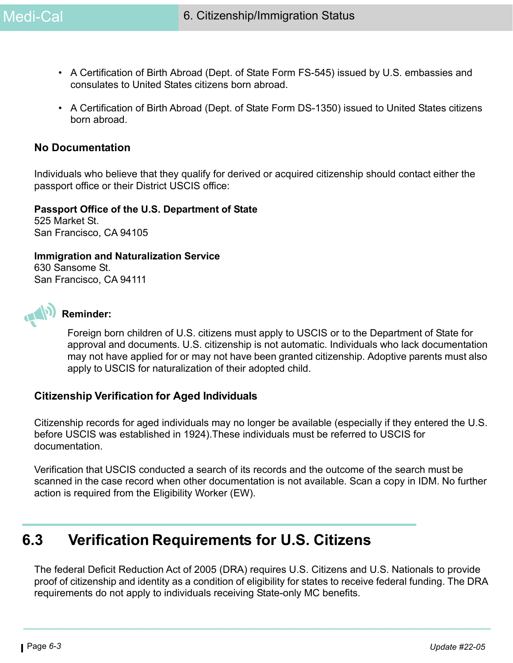- A Certification of Birth Abroad (Dept. of State Form FS-545) issued by U.S. embassies and consulates to United States citizens born abroad.
- A Certification of Birth Abroad (Dept. of State Form DS-1350) issued to United States citizens born abroad.

#### **No Documentation**

Individuals who believe that they qualify for derived or acquired citizenship should contact either the passport office or their District USCIS office:

#### **Passport Office of the U.S. Department of State**

525 Market St. San Francisco, CA 94105

**Immigration and Naturalization Service** 630 Sansome St. San Francisco, CA 94111



## **Reminder:**

Foreign born children of U.S. citizens must apply to USCIS or to the Department of State for approval and documents. U.S. citizenship is not automatic. Individuals who lack documentation may not have applied for or may not have been granted citizenship. Adoptive parents must also apply to USCIS for naturalization of their adopted child.

#### **Citizenship Verification for Aged Individuals**

Citizenship records for aged individuals may no longer be available (especially if they entered the U.S. before USCIS was established in 1924).These individuals must be referred to USCIS for documentation.

Verification that USCIS conducted a search of its records and the outcome of the search must be scanned in the case record when other documentation is not available. Scan a copy in IDM. No further action is required from the Eligibility Worker (EW).

## **6.3 Verification Requirements for U.S. Citizens**

The federal Deficit Reduction Act of 2005 (DRA) requires U.S. Citizens and U.S. Nationals to provide proof of citizenship and identity as a condition of eligibility for states to receive federal funding. The DRA requirements do not apply to individuals receiving State-only MC benefits.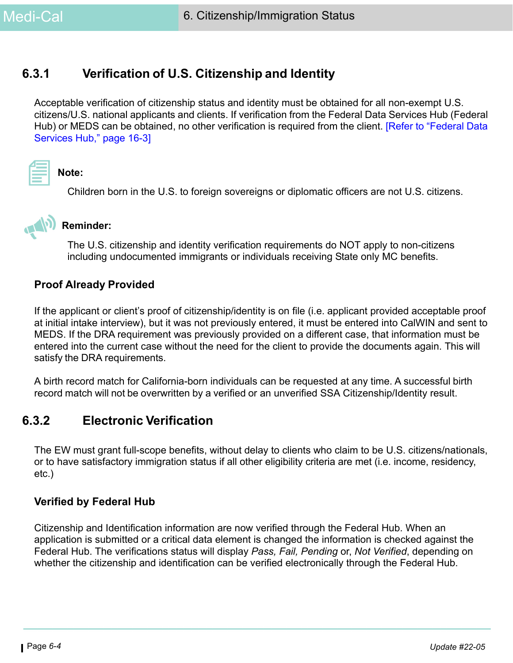## **6.3.1 Verification of U.S. Citizenship and Identity**

Acceptable verification of citizenship status and identity must be obtained for all non-exempt U.S. citizens/U.S. national applicants and clients. If verification from the Federal Data Services Hub (Federal Hub) or MEDS can be obtained, no other verification is required from the client. [Refer to "Federal Data Services Hub," page 16-3]



**Note:** 

Children born in the U.S. to foreign sovereigns or diplomatic officers are not U.S. citizens.



## **Reminder:**

The U.S. citizenship and identity verification requirements do NOT apply to non-citizens including undocumented immigrants or individuals receiving State only MC benefits.

#### **Proof Already Provided**

If the applicant or client's proof of citizenship/identity is on file (i.e. applicant provided acceptable proof at initial intake interview), but it was not previously entered, it must be entered into CalWIN and sent to MEDS. If the DRA requirement was previously provided on a different case, that information must be entered into the current case without the need for the client to provide the documents again. This will satisfy the DRA requirements.

A birth record match for California-born individuals can be requested at any time. A successful birth record match will not be overwritten by a verified or an unverified SSA Citizenship/Identity result.

## **6.3.2 Electronic Verification**

The EW must grant full-scope benefits, without delay to clients who claim to be U.S. citizens/nationals, or to have satisfactory immigration status if all other eligibility criteria are met (i.e. income, residency, etc.)

#### **Verified by Federal Hub**

Citizenship and Identification information are now verified through the Federal Hub. When an application is submitted or a critical data element is changed the information is checked against the Federal Hub. The verifications status will display *Pass, Fail, Pending* or, *Not Verified*, depending on whether the citizenship and identification can be verified electronically through the Federal Hub.